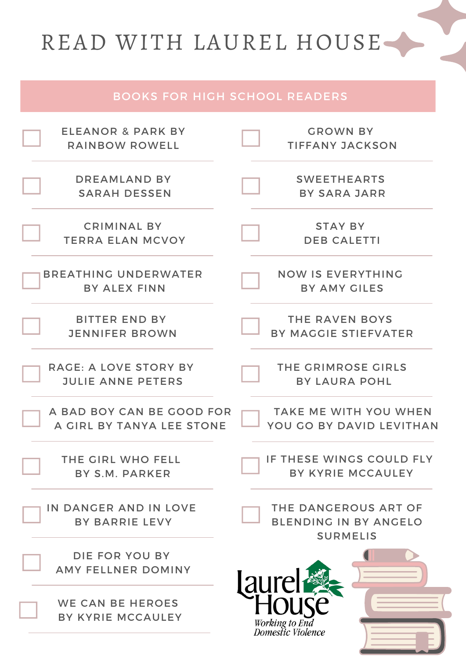| <b>BOOKS FOR HIGH SCHOOL READERS</b>           |                                                                         |
|------------------------------------------------|-------------------------------------------------------------------------|
| <b>ELEANOR &amp; PARK BY</b>                   | <b>GROWN BY</b>                                                         |
| <b>RAINBOW ROWELL</b>                          | <b>TIFFANY JACKSON</b>                                                  |
| <b>DREAMLAND BY</b>                            | <b>SWEETHEARTS</b>                                                      |
| <b>SARAH DESSEN</b>                            | <b>BY SARA JARR</b>                                                     |
| <b>CRIMINAL BY</b>                             | <b>STAY BY</b>                                                          |
| <b>TERRA ELAN MCVOY</b>                        | <b>DEB CALETTI</b>                                                      |
| <b>BREATHING UNDERWATER</b>                    | <b>NOW IS EVERYTHING</b>                                                |
| <b>BY ALEX FINN</b>                            | <b>BY AMY GILES</b>                                                     |
| <b>BITTER END BY</b>                           | THE RAVEN BOYS                                                          |
| <b>JENNIFER BROWN</b>                          | BY MAGGIE STIEFVATER                                                    |
| <b>RAGE: A LOVE STORY BY</b>                   | THE GRIMROSE GIRLS                                                      |
| <b>JULIE ANNE PETERS</b>                       | <b>BY LAURA POHL</b>                                                    |
| A BAD BOY CAN BE GOOD FOR                      | <b>TAKE ME WITH YOU WHEN</b>                                            |
| A GIRL BY TANYA LEE STONE                      | YOU GO BY DAVID LEVITHAN                                                |
| THE GIRL WHO FELL                              | IF THESE WINGS COULD FLY                                                |
| BY S.M. PARKER                                 | <b>BY KYRIE MCCAULEY</b>                                                |
| IN DANGER AND IN LOVE<br><b>BY BARRIE LEVY</b> | THE DANGEROUS ART OF<br><b>BLENDING IN BY ANGELO</b><br><b>SURMELIS</b> |
| DIE FOR YOU BY<br><b>AMY FELLNER DOMINY</b>    | laur                                                                    |
| <b>WE CAN BE HEROES</b><br>BY KYRIE MCCAULEY   | Working to End<br>Domestic Violence                                     |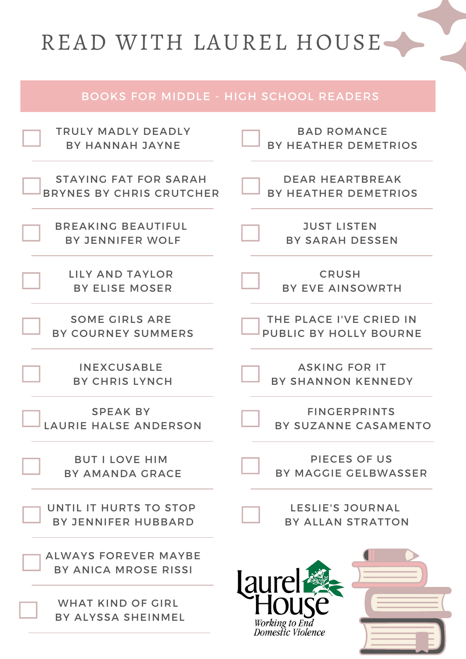#### BOOKS FOR MIDDLE - HIGH SCHOOL READERS

| <b>TRULY MADLY DEADLY</b>                           | <b>BAD ROMANCE</b>            |
|-----------------------------------------------------|-------------------------------|
| BY HANNAH JAYNE                                     | BY HEATHER DEMETRIOS          |
| <b>STAYING FAT FOR SARAH</b>                        | <b>DEAR HEARTBREAK</b>        |
| BRYNES BY CHRIS CRUTCHER                            | BY HEATHER DEMETRIOS          |
| <b>BREAKING BEAUTIFUL</b>                           | <b>JUST LISTEN</b>            |
| <b>BY JENNIFER WOLF</b>                             | <b>BY SARAH DESSEN</b>        |
| LILY AND TAYLOR                                     | <b>CRUSH</b>                  |
| <b>BY ELISE MOSER</b>                               | BY EVE AINSOWRTH              |
| <b>SOME GIRLS ARE</b>                               | THE PLACE I'VE CRIED IN       |
| BY COURNEY SUMMERS                                  | <b>PUBLIC BY HOLLY BOURNE</b> |
| <b>INEXCUSABLE</b>                                  | <b>ASKING FOR IT</b>          |
| <b>BY CHRIS LYNCH</b>                               | <b>BY SHANNON KENNEDY</b>     |
| <b>SPEAK BY</b>                                     | <b>FINGERPRINTS</b>           |
| LAURIE HALSE ANDERSON                               | BY SUZANNE CASAMENTO          |
| <b>BUT I LOVE HIM</b>                               | PIECES OF US                  |
| BY AMANDA GRACE                                     | <b>BY MAGGIE GELBWASSER</b>   |
| UNTIL IT HURTS TO STOP                              | <b>LESLIE'S JOURNAL</b>       |
| BY JENNIFER HUBBARD                                 | <b>BY ALLAN STRATTON</b>      |
| <b>ALWAYS FOREVER MAYBE</b><br>BY ANICA MROSE RISSI |                               |
| <b>WHAT KIND OF GIRL</b>                            | Working to End                |
| BY ALYSSA SHEINMEL                                  | Domestic Violence             |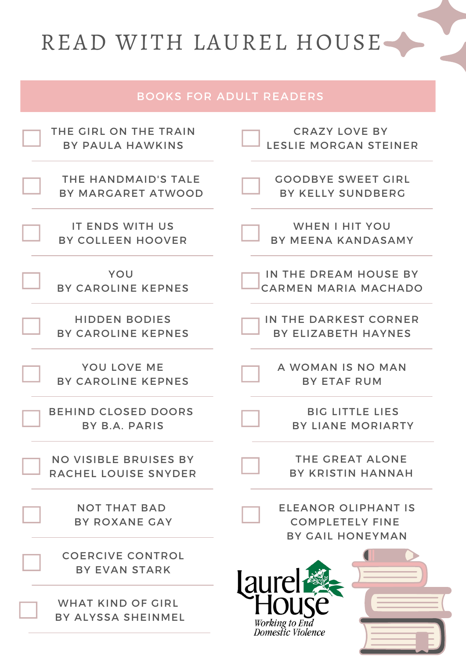#### BOOKS FOR ADULT READERS

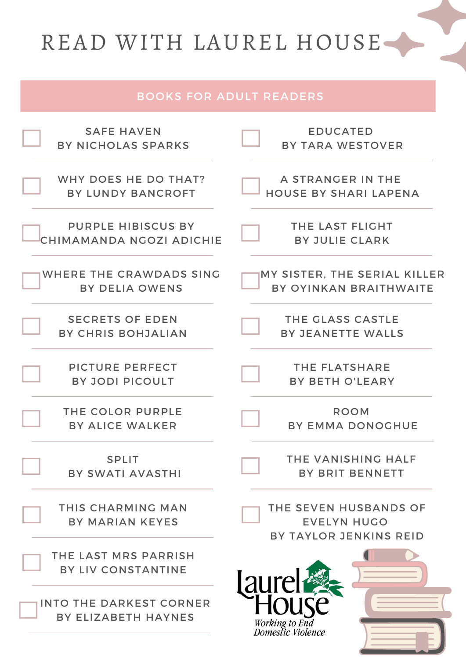#### BOOKS FOR ADULT READERS

| <b>SAFE HAVEN</b>                                     | <b>EDUCATED</b>                                                       |
|-------------------------------------------------------|-----------------------------------------------------------------------|
| BY NICHOLAS SPARKS                                    | BY TARA WESTOVER                                                      |
| WHY DOES HE DO THAT?                                  | A STRANGER IN THE                                                     |
| <b>BY LUNDY BANCROFT</b>                              | HOUSE BY SHARI LAPENA                                                 |
| <b>PURPLE HIBISCUS BY</b>                             | THE LAST FLIGHT                                                       |
| CHIMAMANDA NGOZI ADICHIE                              | <b>BY JULIE CLARK</b>                                                 |
| <b>WHERE THE CRAWDADS SING</b>                        | MY SISTER. THE SERIAL KILLER                                          |
| <b>BY DELIA OWENS</b>                                 | BY OYINKAN BRAITHWAITE                                                |
| <b>SECRETS OF EDEN</b>                                | THE GLASS CASTLE                                                      |
| <b>BY CHRIS BOHJALIAN</b>                             | <b>BY JEANETTE WALLS</b>                                              |
| <b>PICTURE PERFECT</b>                                | THE FLATSHARE                                                         |
| <b>BY JODI PICOULT</b>                                | BY BETH O'LEARY                                                       |
| THE COLOR PURPLE                                      | <b>ROOM</b>                                                           |
| <b>BY ALICE WALKER</b>                                | <b>BY EMMA DONOGHUE</b>                                               |
| <b>SPLIT</b>                                          | THE VANISHING HALF                                                    |
| <b>BY SWATI AVASTHI</b>                               | <b>BY BRIT BENNETT</b>                                                |
| THIS CHARMING MAN<br><b>BY MARIAN KEYES</b>           | THE SEVEN HUSBANDS OF<br><b>EVELYN HUGO</b><br>BY TAYLOR JENKINS REID |
| THE LAST MRS PARRISH<br>BY LIV CONSTANTINE            |                                                                       |
| <b>INTO THE DARKEST CORNER</b><br>BY ELIZABETH HAYNES | Working to End<br>Domestic Violence                                   |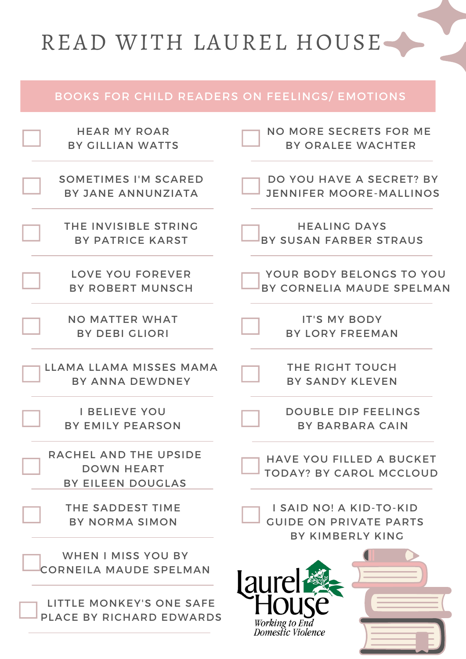### BOOKS FOR CHILD READERS ON FEELINGS/ EMOTIONS

| <b>HEAR MY ROAR</b>                                                    | <b>NO MORE SECRETS FOR ME</b>                                                       |
|------------------------------------------------------------------------|-------------------------------------------------------------------------------------|
| <b>BY GILLIAN WATTS</b>                                                | BY ORALEE WACHTER                                                                   |
| SOMETIMES I'M SCARED                                                   | DO YOU HAVE A SECRET? BY                                                            |
| BY JANE ANNUNZIATA                                                     | <b>JENNIFER MOORE-MALLINOS</b>                                                      |
| THE INVISIBLE STRING                                                   | <b>HEALING DAYS</b>                                                                 |
| <b>BY PATRICE KARST</b>                                                | BY SUSAN FARBER STRAUS                                                              |
| LOVE YOU FOREVER                                                       | YOUR BODY BELONGS TO YOU                                                            |
| <b>BY ROBERT MUNSCH</b>                                                | BY CORNELIA MAUDE SPELMAN                                                           |
| <b>NO MATTER WHAT</b>                                                  | <b>IT'S MY BODY</b>                                                                 |
| <b>BY DEBI GLIORI</b>                                                  | <b>BY LORY FREEMAN</b>                                                              |
| LLAMA LLAMA MISSES MAMA                                                | THE RIGHT TOUCH                                                                     |
| BY ANNA DEWDNEY                                                        | <b>BY SANDY KLEVEN</b>                                                              |
| <b>I BELIEVE YOU</b>                                                   | <b>DOUBLE DIP FEELINGS</b>                                                          |
| <b>BY EMILY PEARSON</b>                                                | BY BARBARA CAIN                                                                     |
| RACHEL AND THE UPSIDE<br><b>DOWN HEART</b><br><b>BY EILEEN DOUGLAS</b> | <b>HAVE YOU FILLED A BUCKET</b><br><b>TODAY? BY CAROL MCCLOUD</b>                   |
| THE SADDEST TIME<br><b>BY NORMA SIMON</b>                              | I SAID NO! A KID-TO-KID<br><b>GUIDE ON PRIVATE PARTS</b><br><b>BY KIMBERLY KING</b> |
| <b>WHEN I MISS YOU BY</b><br>CORNEILA MAUDE SPELMAN                    |                                                                                     |
| LITTLE MONKEY'S ONE SAFE                                               | Working to End                                                                      |
| PLACE BY RICHARD EDWARDS                                               | Domestic Violence                                                                   |